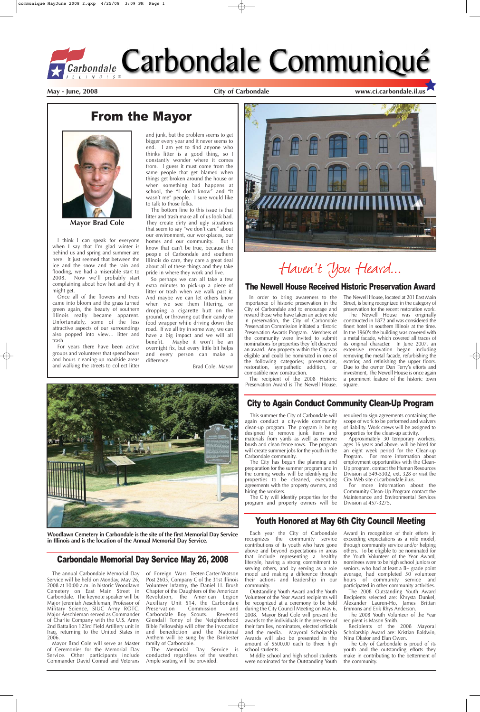In order to bring awareness to the importance of historic preservation in the City of Carbondale and to encourage and reward those who have taken an active role in preservation, the City of Carbondale Preservation Commission initiated a Historic Preservation Awards Program. Members of the community were invited to submit nominations for properties they felt deserved an award. Any property within the City was eligible and could be nominated in one of the following categories; preservation, restoration, sympathetic addition, or compatible new construction.

The recipient of the 2008 Historic Preservation Award is The Newell House.

The Newell House, located at 201 East Main Street, is being recognized in the category of preservation for the recent restoration work.

The Newell House was originally constructed in 1872 and was considered the finest hotel in southern Illinois at the time. In the 1960's the building was covered with a metal facade, which covered all traces of its original character. In June 2007, an extensive renovation began including removing the metal facade, refurbishing the exterior, and refinishing the upper floors. Due to the owner Dan Terry's efforts and investment, The Newell House is once again a prominent feature of the historic town square.

### **May - June, 2008 City of Carbondale www.ci.carbondale.il.us**

# From the Mayor



I think I can speak for everyone when I say that I'm glad winter is behind us and spring and summer are here. It just seemed that between the ice and the snow and the rain and flooding, we had a miserable start to 2008. Now we'll probably start complaining about how hot and dry it might get.

Once all of the flowers and trees came into bloom and the grass turned green again, the beauty of southern Illinois really became apparent. Unfortunately, some of the less attractive aspects of our surroundings also popped into view… litter and trash.

For years there have been active groups and volunteers that spend hours and hours cleaning-up roadside areas and walking the streets to collect litter

and junk, but the problem seems to get bigger every year and it never seems to end. I am yet to find anyone who thinks litter is a good thing, so I constantly wonder where it comes from. I guess it must come from the same people that get blamed when things get broken around the house or when something bad happens at school, the "I don't know" and "It wasn't me" people. I sure would like to talk to those folks.

The bottom line to this issue is that litter and trash make all of us look bad. They create dirty and ugly situations that seem to say "we don't care" about our environment, our workplaces, our homes and our community. But I know that can't be true, because the people of Carbondale and southern Illinois do care, they care a great deal about all of these things and they take pride in where they work and live.

So perhaps we can all take a few extra minutes to pick-up a piece of litter or trash when we walk past it. And maybe we can let others know when we see them littering, or dropping a cigarette butt on the ground, or throwing out their candy or food wrapper while driving down the road. If we all try in some way, we can have a big impact and we will all benefit. Maybe it won't be an overnight fix, but every little bit helps and every person can make a difference.

Brad Cole, Mayor



# Haven't You Heard...



**Mayor Brad Cole**

### The Newell House Received Historic Preservation Award

# Carbondale Memorial Day Service May 26, 2008

The annual Carbondale Memorial Day Service will be held on Monday, May 26, 2008 at 10:00 a.m. in historic Woodlawn Cemetery on East Main Street in Carbondale. The keynote speaker will be Major Jeremiah Aeschleman, Professor of Military Science, SIUC Army ROTC. Major Aeschleman served as Commander of Charlie Company with the U.S. Army 2nd Battalion 123rd Field Artillery unit in Iraq, returning to the United States in 2006.

Mayor Brad Cole will serve as Master of Ceremonies for the Memorial Day Service. Other participants include Commander David Conrad and Veterans of Foreign Wars Teeter-Carter-Watson Post 2605, Company C of the 31st Illinois Volunteer Infantry, the Daniel H. Brush Chapter of the Daughters of the American Revolution, the American Legion Auxiliary Unit 514, the Carbondale<br>Preservation Commission and Commission and<br>Scouts. Reverend Carbondale Boy Scouts. Glendall Toney of the Neighborhood Bible Fellowship will offer the invocation and benediction and the National Anthem will be sung by the Bankester family of Carbondale.

The Memorial Day Service is conducted regardless of the weather. Ample seating will be provided.

**Woodlawn Cemetery in Carbondale is the site of the first Memorial Day Service in Illinois and is the location of the Annual Memorial Day Service.**

This summer the City of Carbondale will again conduct a city-wide community clean-up program. The program is being designed to remove junk items and materials from yards as well as remove brush and clean fence rows. The program will create summer jobs for the youth in the Carbondale community.

The City has begun the planning and preparation for the summer program and in the coming weeks will be identifying the properties to be cleaned, executing agreements with the property owners, and hiring the workers.

The City will identify properties for the

required to sign agreements containing the scope of work to be performed and waivers of liability. Work crews will be assigned to properties for the clean-up activity.

program and property owners will be Division at 457-3275.

Approximately 30 temporary workers, ages 16 years and above, will be hired for an eight week period for the Clean-up Program. For more information about employment opportunities with the Clean-Up program, contact the Human Resources Division at 549-5302, ext. 328 or visit the City Web site ci.carbondale.il.us.

For more information about the Community Clean-Up Program contact the Maintenance and Environmental Services



# City to Again Conduct Community Clean-Up Program

recognizes the community service contributions of its youth who have gone above and beyond expectations in areas that include representing a healthy lifestyle, having a strong commitment to serving others, and by serving as a role model and making a difference through their actions and leadership in our community.

Outstanding Youth Award and the Youth Volunteer of the Year Award recipients will be recognized at a ceremony to be held during the City Council Meeting on May 6, 2008. Mayor Brad Cole will present the awards to the individuals in the presence of their families, nominators, elected officials and the media. Mayoral Scholarship Awards will also be presented in the amount of \$500.00 each to three high school students.

Each year the City of Carbondale Award in recognition of their efforts in exceeding expectations as a role model, through community service and/or helping others. To be eligible to be nominated for the Youth Volunteer of the Year Award, nominees were to be high school juniors or seniors, who had at least a B+ grade point average, had completed 50 volunteer hours of community service and participated in other community activities.

Middle school and high school students were nominated for the Outstanding Youth

The 2008 Outstanding Youth Award Recipients selected are: Khrysta Dunkel, Alexander Lauren-Ho, James Brittan Emmons and Erik Rhys Anderson.

The 2008 Youth Volunteer of the Year recipient is Mason Smith.

Recipients of the 2008 Mayoral Scholarship Award are: Kristian Baldwin, Nina Okafor and Elan Owen.

The City of Carbondale is proud of its youth and the outstanding efforts they make in contributing to the betterment of the community.

# Youth Honored at May 6th City Council Meeting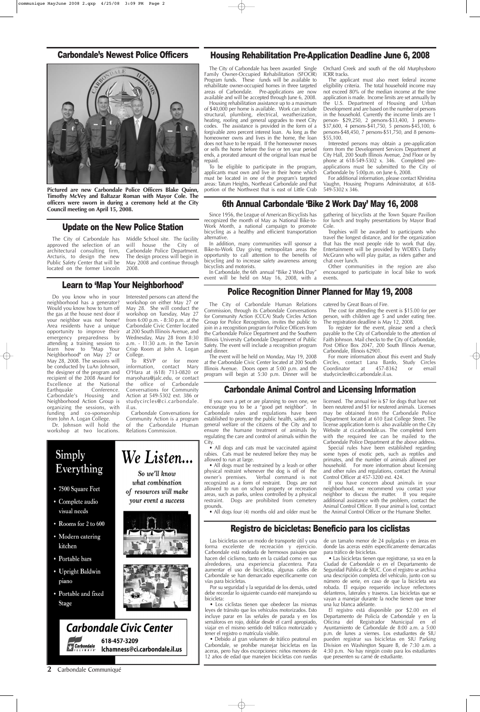### **2** Carbondale Communiqué



your event a success

Police Recognition Dinner Planned for May 19, 2008

The City of Carbondale Human Relations Commission, through its Carbondale Conversations for Community Action (CCCA) Study Circles Action

Group for Police Recognition, invites the public to join in a recognition program for Police Officers from the Carbondale Police Department and the Southern Illinois University Carbondale Department of Public Safety. The event will include a recognition program and dinner. The event will be held on Monday, May 19, 2008

at the Carbondale Civic Center located at 200 South Illinois Avenue. Doors open at 5:00 p.m. and the program will begin at 5:30 p.m. Dinner will be

catered by Great Boars of Fire.

The cost for attending the event is \$15.00 for per person, with children age 5 and under eating free. The registration deadline is May 12, 2008.

To register for the event, please send a check payable to the City of Carbondale to the attention of Faith Johnson. Mail checks to the City of Carbondale, Post Office Box 2047, 200 South Illinois Avenue, Carbondale, Illinois 62901.

For more information about this event and Study Circles, contact Lana Bardo, Study Circles Coordinator at 457-8362 or email studycircles@ci.carbondale.il.us.

# Registro de bicicletas: Beneficio para los ciclistas

Las bicicletas son un modo de transporte útil y una forma excelente de recreación y ejercicio. Carbondale está rodeada de hermosos paisajes que hacen del ciclismo, tanto en la cuidad como en sus alrededores, una experiencia placentera. Para aumentar el uso de bicicletas, algunas calles de Carbondale se han demarcado específicamente con vías para bicicletas.

Por su seguridad y la seguridad de los demás, usted debe recordar lo siguiente cuando esté manejando su bicicleta:

**Pictured are new Carbondale Police Officers Blake Quinn, Timothy McVey and Baltazar Roman with Mayor Cole. The officers were sworn in during a ceremony held at the City** officers were sworn in during a ceremony held at the City **6th Annual Carbondale 'Bike 2 Work Day' May 16, 2008**<br>Council meeting on April 15, 2008.

> • Los ciclistas tienen que obedecer las mismas leyes de tránsito que los vehículos motorizados. Esto incluye parar en las señales de parada y en los semáforos en rojo, doblar desde el carril apropiado, viajar en el mismo sentido del tráfico motorizado y tener el registro o matrícula visible.

> In addition, many communities will sponsor a Bike-to-Work Day giving metropolitan areas the opportunity to call attention to the benefits of bicycling and to increase safety awareness among

> In Carbondale, the 6th annual "Bike 2 Work Day" event will be held on May 16, 2008, with a

• Debido al gran volumen de tráfico peatonal en Carbondale, se prohíbe manejar bicicletas en las aceras, pero hay dos excepciones: niños menores de 12 años de edad que manejen bicicletas con ruedas de un tamaño menor de 24 pulgadas y en áreas en donde las aceras estén específicamente demarcadas para tráfico de bicicletas.

• Las bicicletas tienen que registrarse, ya sea en la Ciudad de Carbondale o en el Departamento de Seguridad Pública de SIUC. Con el registro se archiva una descripción completa del vehículo, junto con su número de serie, en caso de que la bicicleta sea robada. El equipo requerido incluye reflectores delanteros, laterales y traseros. Las bicicletas que se vayan a manejar durante la noche tienen que tener una luz blanca adelante.

Dr. Johnson will hold the workshop at two locations.

> El registro está disponible por \$2.00 en el Departamento de Policía de Carbondale y en la Oficina del Registrador Municipal en el Ayuntamiento de Carbondale de 8:00 a.m. a 5:00 p.m. de lunes a viernes. Los estudiantes de SIU pueden registrar sus bicicletas en SIU Parking Division en Washington Square B, de 7:30 a.m. a 4:30 p.m. No hay ningún costo para los estudiantes que presenten su carné de estudiante.

## Update on the New Police Station

The City of Carbondale has approved the selection of an architectural consulting firm, Arcturis, to design the new Public Safety Center that will be located on the former Lincoln

# will house the City of The design process will begin in

Middle School site. The facility Carbondale Police Department. May 2008 and continue through 2008.

Since 1956, the League of American Bicyclists has recognized the month of May as National Bike-to-Work Month, a national campaign to promote bicycling as a healthy and efficient transportation alternative.

# bicyclists and motorists.

gathering of bicyclists at the Town Square Pavilion for lunch and trophy presentations by Mayor Brad Cole.

• All dogs must be restrained by a leash or other physical restraint whenever the dog is off of the owner's premises. Verbal command is not recognized as a form of restraint. Dogs are not allowed to run on school property or recreation areas, such as parks, unless controlled by a physical

Trophies will be awarded to participants who travel the longest distance, and for the organization that has the most people ride to work that day. Entertainment will be provided by WDBX's Darby McGrann who will play guitar, as riders gather and chat over lunch.

Other communities in the region are also encouraged to participate in local bike to work events.

## Learn to 'Map Your Neighborhood'

Do you know who in your neighborhood has a generator? Would you know how to turn off the gas at the house next door if your neighbor was not home? Area residents have a unique opportunity to improve their emergency preparedness by attending a training session to learn how to "Map Your Neighborhood" on May 27 or May 28, 2008. The sessions will be conducted by LuAn Johnson, the designer of the program and recipient of the 2008 Award for Excellence at the National<br>Earthquake Conference. Conference. Carbondale's Housing and Neighborhood Action Group is organizing the sessions, with funding and co-sponsorship from John A. Logan College.

Interested persons can attend the workshop on either May 27 or May 28. She will conduct the workshop on Tuesday, May 27 from 6:00 p.m. - 8:30 p.m. at the Carbondale Civic Center located at 200 South Illinois Avenue, and Wednesday, May 28 from 8:30 a.m. - 11:30 a.m. in the Tarvin Crisp Room at John A. Logan College.

To RSVP or for more information, contact Mary O'Hara at (618) 713-0820 or maryohara@jalc.edu, or contact the office of Carbondale Conversations for Community Action at 549-5302 ext. 386 or studycircles@ci.carbondale. il.us.

Carbondale Conversations for Community Action is a program of the Carbondale Human Relations Commission.

## Carbondale's Newest Police Officers



The City of Carbondale has been awarded Single Family Owner-Occupied Rehabilitation (SFOOR) Program funds. These funds will be available to rehabilitate owner-occupied homes in three targeted areas of Carbondale. Pre-applications are now available and will be accepted through June 6, 2008.

Housing rehabilitation assistance up to a maximum of \$40,000 per home is available. Work can include structural, plumbing, electrical, weatherization, heating, roofing and general upgrades to meet City codes. The assistance is provided in the form of a forgivable zero percent interest loan. As long as the homeowner owns and lives in the home, the loan does not have to be repaid. If the homeowner moves or sells the home before the five or ten year period ends, a prorated amount of the original loan must be repaid.

To be eligible to participate in the program, applicants must own and live in their home which must be located in one of the program's targeted areas: Tatum Heights, Northeast Carbondale and that portion of the Northwest that is east of Little Crab Orchard Creek and south of the old Murphysboro ICRR tracks.

The applicant must also meet federal income eligibility criteria. The total household income may not exceed 80% of the median income at the time application is made. Income limits are set annually by the U.S. Department of Housing and Urban Development and are based on the number of persons in the household. Currently the income limits are 1 person- \$29,250, 2 persons-\$33,400, 3 persons- \$37,600, 4 persons-\$41,750, 5 persons-\$45,100, 6 persons-\$48,450, 7 persons-\$51,750, and 8 persons- \$55,100.

Interested persons may obtain a pre-application form from the Development Services Department at City Hall, 200 South Illinois Avenue, 2nd Floor or by phone at 618-549-5302 x. 346. Completed preapplications must be submitted to the City of Carbondale by 5:00p.m. on June 6, 2008.

For additional information, please contact Khristina Vaughn, Housing Programs Administrator, at 618- 549-5302 x 346.

## Housing Rehabilitation Pre-Application Deadline June 6, 2008

## Carbondale Animal Control and Licensing Information

If you own a pet or are planning to own one, we encourage you to be a "good pet neighbor". In Carbondale rules and regulations have been established to promote the public health, safety, and general welfare of the citizens of the City and to ensure the humane treatment of animals by regulating the care and control of animals within the City.

• All dogs and cats must be vaccinated against rabies. Cats must be neutered before they may be allowed to run at large.

restraint. Dogs are prohibited from cemetery grounds.

• All dogs four (4) months old and older must be

licensed. The annual fee is \$7 for dogs that have not been neutered and \$1 for neutered animals. Licenses may be obtained from the Carbondale Police Department located at 610 East College Street. The license application form is also available on the City Website at ci.carbondale.us. The completed form with the required fee can be mailed to the Carbondale Police Department at the above address.

Special rules have been established regarding some types of exotic pets, such as reptiles and primates, and the number of animals allowed per household. For more information about licensing and other rules and regulations, contact the Animal Control Officer at 457-3200 ext. 424.

If you have concern about animals in your neighborhood, we recommend you contact your neighbor to discuss the matter. If you require additional assistance with the problem, contact the Animal Control Officer. If your animal is lost, contact the Animal Control Officer or the Humane Shelter.

### We Listen... Everything So we'll know what combination • 7500 Square Feet of resources will make

Complete audio visual needs

Simply

- Rooms for 2 to 600
- Modern catering kitchen
- Portable bars
- Upright Baldwin piano
- Portable and fixed **Stage**



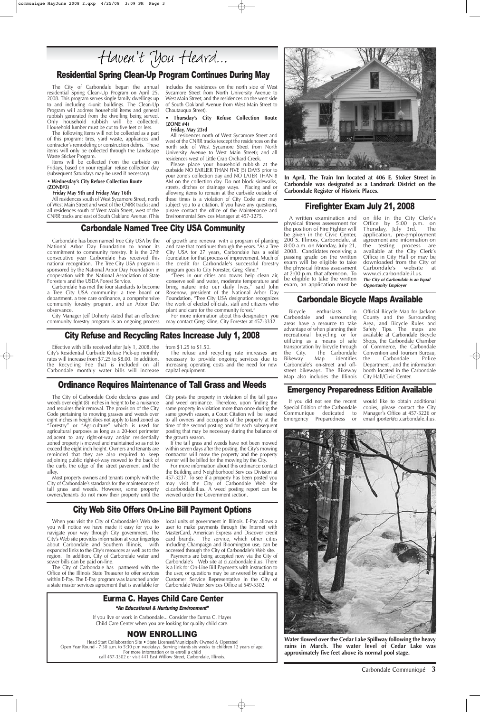# City Refuse and Recycling Rates Increase July 1, 2008

Effective with bills received after July 1, 2008, the City's Residential Curbside Refuse Pick-up monthly rates will increase from \$7.25 to \$8.00. In addition, the Recycling Fee that is included on all Carbondale monthly water bills will increase

from \$1.25 to \$1.50.

The refuse and recycling rate increases are necessary to provide ongoing services due to increasing operating costs and the need for new capital equipment.

A written examination and physical fitness assessment for the position of Fire Fighter will be given in the Civic Center, 200 S. Illinois, Carbondale, at 8:00 a.m. on Monday, July 21, 2008. Candidates receiving a passing grade on the written exam will be eligible to take the physical fitness assessment at 2:00 p.m. that afternoon. To be eligible to take the written exam, an application must be

on file in the City Clerk's Office by 5:00 p.m. on Thursday, July 3rd. The application, pre-employment agreement and information on the testing process are available at the City Clerk's Office in City Hall or may be downloaded from the City of Carbondale's website at www.ci.carbondale.il.us. **The City of Carbondale is an Equal**

**Opportunity Employer**

Bicycle enthusiasts in Carbondale and surrounding areas have a resource to take advantage of when planning their recreational bicycling or for utilizing as a means of safe transportation by bicycle through the City. The Carbondale Bikeway Map identifies Carbondale's on-street and offstreet bikeways. The Bikeway Map also includes the Illinois

Official Bicycle Map for Jackson County and the Surrounding Area, and Bicycle Rules and Safety Tips. The maps are available at Carbondale Bicycle Shops, the Carbondale Chamber of Commerce, the Carbondale Convention and Tourism Bureau, the Carbondale Police Department , and the information booth located in the Carbondale City Hall/Civic Center.

## Carbondale Bicycle Maps Available

## Ordinance Requires Maintenance of Tall Grass and Weeds

The City of Carbondale Code declares grass and weeds over eight (8) inches in height to be a nuisance and requires their removal. The provision of the City Code pertaining to mowing grasses and weeds over eight inches in height does not apply to land zoned as "Forestry" or "Agriculture" which is used for agricultural purposes as long as a 20-foot perimeter adjacent to any right-of-way and/or residentially zoned property is mowed and maintained so as not to exceed the eight inch height. Owners and tenants are reminded that they are also required to keep adjoining public right-of-way mowed to the back of the curb, the edge of the street pavement and the alley.

Most property owners and tenants comply with the City of Carbondale's standards for the maintenance of tall grass and weeds. However, some property owners/tenants do not mow their property until the City posts the property in violation of the tall grass and weed ordinance. Therefore, upon finding the same property in violation more than once during the same growth season, a Court Citation will be issued to all owners and occupants of the property at the time of the second posting and for each subsequent posting that may be necessary during the balance of the growth season.

If the tall grass and weeds have not been mowed within seven days after the posting, the City's mowing contractor will mow the property and the property owner will be billed for the mowing by the City.

For more information about this ordinance contact the Building and Neighborhood Services Division at 457-3237. To see if a property has been posted you may visit the City of Carbondale Web site ci.carbondale.il.us. A weed posting report can be viewed under the Government section.

# Residential Spring Clean-Up Program Continues During May

The City of Carbondale began the annual residential Spring Clean-Up Program on April 25, 2008. This program serves single family dwellings up to and including 4-unit buildings. The Clean-Up Program will address household items and general rubbish generated from the dwelling being served. Only household rubbish will be collected. Household lumber must be cut to five feet or less.

The following Items will not be collected as a part of this program: tires, yard waste, appliances and contractor's remodeling or construction debris. These items will only be collected through the Landscape Waste Sticker Program.

Items will be collected from the curbside on Fridays, based on your regular refuse collection day (subsequent Saturdays may be used if necessary).

#### • **Wednesday's City Refuse Collection Route (ZONE#3)**

#### **Friday May 9th and Friday May 16th**

All residences south of West Sycamore Street, north of West Main Street and west of the CNRR tracks; and all residences south of West Main Street, west of the CNRR tracks and east of South Oakland Avenue. (This includes the residences on the north side of West Sycamore Street from North University Avenue to West Main Street; and the residences on the west side of South Oakland Avenue from West Main Street to Chautauqua Street).

#### • **Thursday's City Refuse Collection Route (ZONE #4)**

#### **Friday, May 23rd**

All residences north of West Sycamore Street and west of the CNRR tracks (except the residences on the north side of West Sycamore Street from North University Avenue to West Main Street); and all residences west of Little Crab Orchard Creek.

Please place your household rubbish at the curbside NO EARLIER THAN FIVE (5) DAYS prior to your zone's collection day and NO LATER THAN 8 AM on the collection day. Do not block sidewalks, streets, ditches or drainage ways. Placing and or allowing items to remain at the curbside outside of these times is a violation of City Code and may subject you to a citation. If you have any questions, please contact the office of the Maintenance and Environmental Services Manager at 457-3275.



Carbondale Named Tree City USA Community

sponsored by the National Arbor Day Foundation in cooperation with the National Association of State

Foresters and the USDA Forest Service.

Carbondale has been named Tree City USA by the National Arbor Day Foundation to honor its commitment to community forestry. It is the 27th consecutive year Carbondale has received this national recognition. The Tree City USA program is of growth and renewal with a program of planting and care that continues through the years. "As a Tree City USA for 27 years, Carbondale has a solid foundation for that process of improvement. Much of the credit for Carbondale's successful forestry

Carbondale has met the four standards to become a Tree City USA community: a tree board or department, a tree care ordinance, a comprehensive community forestry program, and an Arbor Day

observance.

City Manager Jeff Doherty stated that an effective community forestry program is an ongoing process

program goes to City Forester, Greg Kline." "Trees in our cities and towns help clean air, conserve soil and water, moderate temperature and bring nature into our daily lives," said John Rosenow, president of the National Arbor Day Foundation. "Tree City USA designation recognizes the work of elected officials, staff and citizens who plant and care for the community forest."

For more information about this designation you may contact Greg Kline, City Forester at 457-3332.

**In April, The Train Inn located at 406 E. Stoker Street in Carbondale was designated as a Landmark District on the Carbondale Register of Historic Places.** 

### Emergency Preparedness Edition Available

If you did not see the recent Special Edition of the Carbondale Communique dedicated to Emergency Preparedness or

would like to obtain additional copies, please contact the City Manager's Office at 457-3226 or email jporter@ci.carbondale.il.us.



# City Web Site Offers On-Line Bill Payment Options

When you visit the City of Carbondale's Web site you will notice we have made it easy for you to navigate your way through City government. The City's Web site provides information at your fingertips about Carbondale and Southern Illinois, with expanded links to the City's resources as well as to the region. In addition, City of Carbondale water and sewer bills can be paid on-line.

The City of Carbondale has partnered with the Office of the Illinois State Treasurer to offer services within E-Pay. The E-Pay program was launched under a state master services agreement that is available for

local units of government in Illinois. E-Pay allows a user to make payments through the Internet with MasterCard, American Express and Discover credit card brands. The service, which other cities including Champaign and Bloomington use, can be accessed through the City of Carbondale's Web site. Payments are being accepted now via the City of Carbondale's Web site at ci.carbondale.il.us. There is a link for On-Line Bill Payments with instruction to the user, or questions may be answered by calling a Customer Service Representative in the City of Carbondale Water Services Office at 549-5302.

> **Water flowed over the Cedar Lake Spillway following the heavy rains in March. The water level of Cedar Lake was approximately five feet above its normal pool stage.**

### Firefighter Exam July 21, 2008

# Eurma C. Hayes Child Care Center

If you live or work in Carbondale... Consider the Eurma C. Hayes Child Care Center when you are looking for quality child care.

# NOW ENROLLING

Head Start Collaboration Site • State Licensed/Municipally Owned & Operated Open Year Round - 7:30 a.m. to 5:30 p.m weekdays. Serving infants six weeks to children 12 years of age. For more information or to enroll a child call 457-3302 or visit 441 East Willow Street, Carbondale, Illinois.

### "An Educational & Nurturing Environment"

Carbondale Communiqué **3**

# Haven't You Heard...